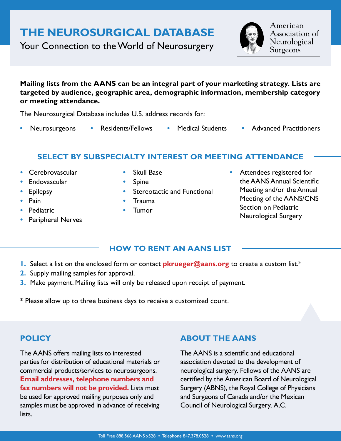# **THE NEUROSURGICAL DATABASE**

Your Connection to the World of Neurosurgery

American Association of Neurological Surgeons

**Mailing lists from the AANS can be an integral part of your marketing strategy. Lists are targeted by audience, geographic area, demographic information, membership category or meeting attendance.**

The Neurosurgical Database includes U.S. address records for:

- 
- 
- 
- **•** Neurosurgeons **•** Residents/Fellows **•** Medical Students **•** Advanced Practitioners

## **SELECT BY SUBSPECIALTY INTEREST OR MEETING ATTENDANCE**

- **•** Cerebrovascular
- **•** Endovascular
- **•** Epilepsy
- **•** Pain
- **•** Pediatric
- **•** Peripheral Nerves
- **•** Skull Base
- **•** Spine
- **Stereotactic and Functional**
- **•** Trauma
- **•** Tumor

**•** Attendees registered for the AANS Annual Scientific Meeting and/or the Annual Meeting of the AANS/CNS Section on Pediatric Neurological Surgery

## **HOW TO RENT AN AANS LIST**

- **1.** Select a list on the enclosed form or contact **[pkrueger@aans.org](mailto:pkrueger%40aans.org?subject=)** to create a custom list.\*
- **2.** Supply mailing samples for approval.
- **3.** Make payment. Mailing lists will only be released upon receipt of payment.

\* Please allow up to three business days to receive a customized count.

# **POLICY**

The AANS offers mailing lists to interested parties for distribution of educational materials or commercial products/services to neurosurgeons. **Email addresses, telephone numbers and fax numbers will not be provided.** Lists must be used for approved mailing purposes only and samples must be approved in advance of receiving lists.

## **ABOUT THE AANS**

The AANS is a scientific and educational association devoted to the development of neurological surgery. Fellows of the AANS are certified by the American Board of Neurological Surgery (ABNS), the Royal College of Physicians and Surgeons of Canada and/or the Mexican Council of Neurological Surgery, A.C.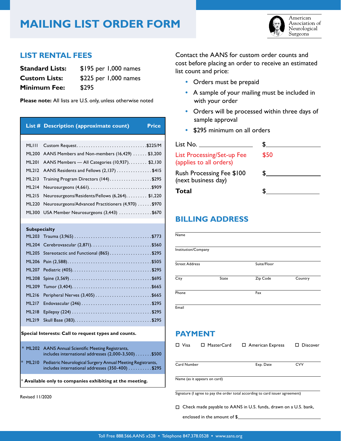# **MAILING LIST ORDER FORM**



American Association of Neurological Surgeons

### **LIST RENTAL FEES**

| <b>Standard Lists:</b> | \$195 per 1,000 names |
|------------------------|-----------------------|
| <b>Custom Lists:</b>   | \$225 per 1,000 names |
| <b>Minimum Fee:</b>    | \$295                 |

**Please note:** All lists are U.S. only, unless otherwise noted

|              | List # Description (approximate count)<br><b>Price</b>   |
|--------------|----------------------------------------------------------|
|              |                                                          |
| MLIII        | Custom Request\$225/M                                    |
|              | ML200 AANS Members and Non-members (16,429)  \$3,200     |
|              | ML201 AANS Members — All Categories (10,937). \$2,130    |
|              | ML212 AANS Residents and Fellows (2,137) \$415           |
|              | ML213 Training Program Directors (144)\$295              |
|              |                                                          |
| <b>ML215</b> | Neurosurgeons/Residents/Fellows (6,264). \$1,220         |
|              | ML220 Neurosurgeons/Advanced Practitioners (4,970) \$970 |
|              | ML300 USA Member Neurosurgeons (3,443) \$670             |
|              |                                                          |

#### **Subspecialty**

|              | ML205 Stereotactic and Functional (865) \$295 |
|--------------|-----------------------------------------------|
|              |                                               |
|              |                                               |
|              |                                               |
|              |                                               |
| <b>ML216</b> | Peripheral Nerves $(3,405)$ \$665             |
| <b>ML217</b> |                                               |
| <b>ML218</b> |                                               |
| <b>ML219</b> |                                               |

#### **Special Interests: Call to request types and counts.**

| * ML202 AANS Annual Scientific Meeting Registrants,<br>includes international addresses $(2,000-3,500)$ \$500            |
|--------------------------------------------------------------------------------------------------------------------------|
| * ML210 Pediatric Neurological Surgery Annual Meeting Registrants,<br>includes international addresses $(350-400)$ \$295 |

Available only to companies exhibiting at the meeting.

Revised 11/2020

Contact the AANS for custom order counts and cost before placing an order to receive an estimated list count and price:

- Orders must be prepaid
- **•** A sample of your mailing must be included in with your order
- Orders will be processed within three days of sample approval
- **•** \$295 minimum on all orders

| List No. $\rule{1em}{0.75mm}$                                |      |
|--------------------------------------------------------------|------|
| <b>List Processing/Set-up Fee</b><br>(applies to all orders) | \$50 |
| <b>Rush Processing Fee \$100</b><br>(next business day)      |      |
| Total                                                        |      |

### **BILLING ADDRESS**

| Name                  |       |             |         |
|-----------------------|-------|-------------|---------|
|                       |       |             |         |
| Institution/Company   |       |             |         |
|                       |       |             |         |
| <b>Street Address</b> |       | Suite/Floor |         |
|                       |       |             |         |
| City                  | State | Zip Code    | Country |
|                       |       |             |         |
| Phone                 |       | Fax         |         |
|                       |       |             |         |

**Email** 

## **PAYMENT**

| Visa<br>$\Box$ MasterCard                                                     |  | $\Box$ American Express | $\Box$ Discover |  |  |  |
|-------------------------------------------------------------------------------|--|-------------------------|-----------------|--|--|--|
|                                                                               |  |                         |                 |  |  |  |
| Card Number                                                                   |  | Exp. Date               | <b>CVV</b>      |  |  |  |
| Name (as it appears on card)                                                  |  |                         |                 |  |  |  |
| Signature (I agree to pay the order total according to card issuer agreement) |  |                         |                 |  |  |  |

Check made payable to AANS in U.S. funds, drawn on a U.S. bank,

enclosed in the amount of \$